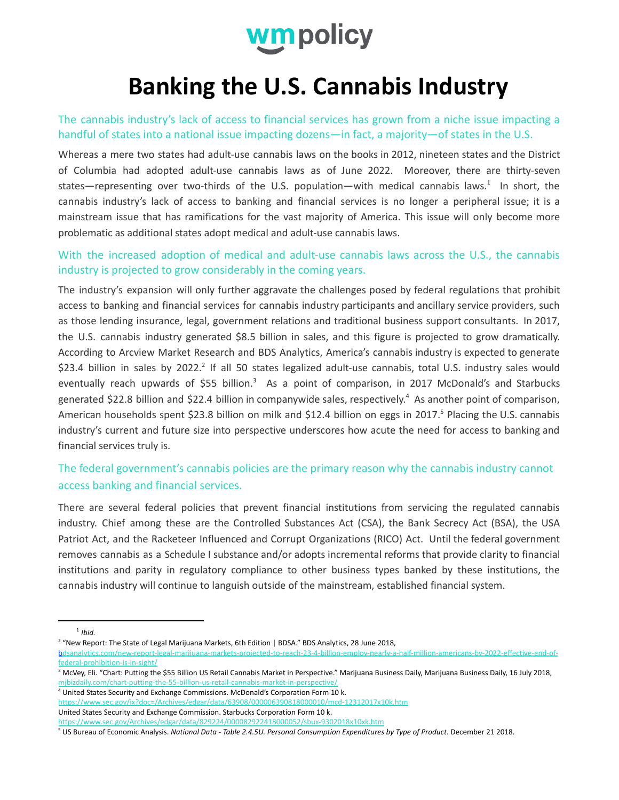

# **Banking the U.S. Cannabis Industry**

The cannabis industry's lack of access to financial services has grown from a niche issue impacting a handful of states into a national issue impacting dozens—in fact, a majority—of states in the U.S.

Whereas a mere two states had adult-use cannabis laws on the books in 2012, nineteen states and the District of Columbia had adopted adult-use cannabis laws as of June 2022. Moreover, there are thirty-seven states—representing over two-thirds of the U.S. population—with medical cannabis laws.<sup>1</sup> In short, the cannabis industry's lack of access to banking and financial services is no longer a peripheral issue; it is a mainstream issue that has ramifications for the vast majority of America. This issue will only become more problematic as additional states adopt medical and adult-use cannabis laws.

#### With the increased adoption of medical and adult-use cannabis laws across the U.S., the cannabis industry is projected to grow considerably in the coming years.

The industry's expansion will only further aggravate the challenges posed by federal regulations that prohibit access to banking and financial services for cannabis industry participants and ancillary service providers, such as those lending insurance, legal, government relations and traditional business support consultants. In 2017, the U.S. cannabis industry generated \$8.5 billion in sales, and this figure is projected to grow dramatically. According to Arcview Market Research and BDS Analytics, America's cannabis industry is expected to generate \$23.4 billion in sales by 2022.<sup>2</sup> If all 50 states legalized adult-use cannabis, total U.S. industry sales would eventually reach upwards of \$55 billion.<sup>3</sup> As a point of comparison, in 2017 McDonald's and Starbucks generated \$22.8 billion and \$22.4 billion in companywide sales, respectively.<sup>4</sup> As another point of comparison, American households spent \$23.8 billion on milk and \$12.4 billion on eggs in 2017.<sup>5</sup> Placing the U.S. cannabis industry's current and future size into perspective underscores how acute the need for access to banking and financial services truly is.

## The federal government's cannabis policies are the primary reason why the cannabis industry cannot access banking and financial services.

There are several federal policies that prevent financial institutions from servicing the regulated cannabis industry. Chief among these are the Controlled Substances Act (CSA), the Bank Secrecy Act (BSA), the USA Patriot Act, and the Racketeer Influenced and Corrupt Organizations (RICO) Act. Until the federal government removes cannabis as a Schedule I substance and/or adopts incremental reforms that provide clarity to financial institutions and parity in regulatory compliance to other business types banked by these institutions, the cannabis industry will continue to languish outside of the mainstream, established financial system.

<sup>4</sup> United States Security and Exchange Commissions. McDonald's Corporation Form 10 k.

<https://www.sec.gov/Archives/edgar/data/829224/000082922418000052/sbux-9302018x10xk.htm>

<sup>1</sup> *Ibid.*

<sup>&</sup>lt;sup>2</sup> "New Report: The State of Legal Marijuana Markets, 6th Edition | BDSA." BDS Analytics, 28 June 2018,

bdsanalytics.com/new-report-legal-marijuana-markets-projected-to-reach-23-4-billion-employ-nearly-a-half-million-americans-by-2022-effective-end-offederal-prohibition-is-in-sight/

<sup>&</sup>lt;sup>3</sup> McVey, Eli. "Chart: Putting the \$55 Billion US Retail Cannabis Market in Perspective." Marijuana Business Daily, Marijuana Business Daily, 16 July 2018, mjbizdaily.com/chart-putting-the-55-billion-us-retail-cannabis-market-in-perspective/

<https://www.sec.gov/ix?doc=/Archives/edgar/data/63908/000006390818000010/mcd-12312017x10k.htm> United States Security and Exchange Commission. Starbucks Corporation Form 10 k.

<sup>5</sup> US Bureau of Economic Analysis. *National Data - Table 2.4.5U. Personal Consumption Expenditures by Type of Product*. December 21 2018.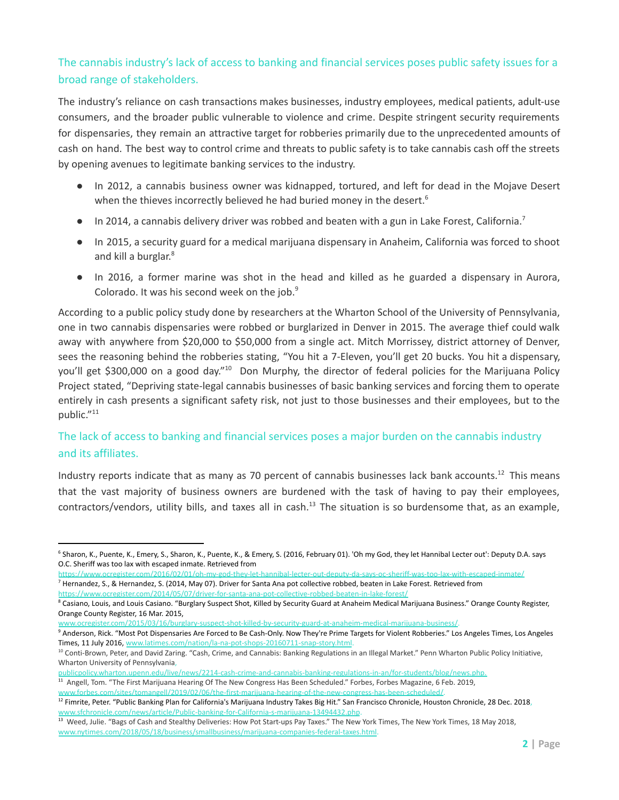## The cannabis industry's lack of access to banking and financial services poses public safety issues for a broad range of stakeholders.

The industry's reliance on cash transactions makes businesses, industry employees, medical patients, adult-use consumers, and the broader public vulnerable to violence and crime. Despite stringent security requirements for dispensaries, they remain an attractive target for robberies primarily due to the unprecedented amounts of cash on hand. The best way to control crime and threats to public safety is to take cannabis cash off the streets by opening avenues to legitimate banking services to the industry.

- In 2012, a cannabis business owner was kidnapped, tortured, and left for dead in the Mojave Desert when the thieves incorrectly believed he had buried money in the desert.<sup>6</sup>
- $\bullet$  In 2014, a cannabis delivery driver was robbed and beaten with a gun in Lake Forest, California.<sup>7</sup>
- In 2015, a security guard for a medical marijuana dispensary in Anaheim, California was forced to shoot and kill a burglar. 8
- In 2016, a former marine was shot in the head and killed as he guarded a dispensary in Aurora, Colorado. It was his second week on the job.<sup>9</sup>

According to a public policy study done by researchers at the Wharton School of the University of Pennsylvania, one in two cannabis dispensaries were robbed or burglarized in Denver in 2015. The average thief could walk away with anywhere from \$20,000 to \$50,000 from a single act. Mitch Morrissey, district attorney of Denver, sees the reasoning behind the robberies stating, "You hit a 7-Eleven, you'll get 20 bucks. You hit a dispensary, you'll get \$300,000 on a good day."<sup>10</sup> Don Murphy, the director of federal policies for the Marijuana Policy Project stated, "Depriving state-legal cannabis businesses of basic banking services and forcing them to operate entirely in cash presents a significant safety risk, not just to those businesses and their employees, but to the public."<sup>11</sup>

## The lack of access to banking and financial services poses a major burden on the cannabis industry and its affiliates.

Industry reports indicate that as many as 70 percent of cannabis businesses lack bank accounts.<sup>12</sup> This means that the vast majority of business owners are burdened with the task of having to pay their employees, contractors/vendors, utility bills, and taxes all in cash.<sup>13</sup> The situation is so burdensome that, as an example,

[www.ocregister.com/2015/03/16/burglary-suspect-shot-killed-by-security-guard-at-anaheim-medical-marijuana-business/.](http://www.ocregister.com/2015/03/16/burglary-suspect-shot-killed-by-security-guard-at-anaheim-medical-marijuana-business/)

<sup>11</sup> Angell, Tom. "The First Marijuana Hearing Of The New Congress Has Been Scheduled." Forbes, Forbes Magazine, 6 Feb. 2019, publicpolicy.wharton.upenn.edu/live/news/2214-cash-crime-and-cannabis-banking-regulations-in-an/for-students/blog/news.php.

<sup>6</sup> Sharon, K., Puente, K., Emery, S., Sharon, K., Puente, K., & Emery, S. (2016, February 01). 'Oh my God, they let Hannibal Lecter out': Deputy D.A. says O.C. Sheriff was too lax with escaped inmate. Retrieved from

<sup>&</sup>lt;sup>7</sup> Hernandez, S., & Hernandez, S. (2014, May 07). Driver for Santa Ana pot collective robbed, beaten in Lake Forest. Retrieved from <https://www.ocregister.com/2014/05/07/driver-for-santa-ana-pot-collective-robbed-beaten-in-lake-forest/> <https://www.ocregister.com/2016/02/01/oh-my-god-they-let-hannibal-lecter-out-deputy-da-says-oc-sheriff-was-too-lax-with-escaped-inmate/>

<sup>&</sup>lt;sup>8</sup> Casiano, Louis, and Louis Casiano. "Burglary Suspect Shot, Killed by Security Guard at Anaheim Medical Marijuana Business." Orange County Register, Orange County Register, 16 Mar. 2015,

<sup>&</sup>lt;sup>9</sup> Anderson, Rick. "Most Pot Dispensaries Are Forced to Be Cash-Only. Now They're Prime Targets for Violent Robberies." Los Angeles Times, Los Angeles Times, 11 July 2016, [www.latimes.com/nation/la-na-pot-shops-20160711-snap-story.html](http://www.latimes.com/nation/la-na-pot-shops-20160711-snap-story.html).

<sup>&</sup>lt;sup>10</sup> Conti-Brown, Peter, and David Zaring. "Cash, Crime, and Cannabis: Banking Regulations in an Illegal Market." Penn Wharton Public Policy Initiative, Wharton University of Pennsylvania,

 $^{12}$  Fimrite, Peter. "Public Banking Plan for California's Marijuana Industry Takes Big Hit." San Francisco Chronicle, Houston Chronicle, 28 Dec. 2018, [www.forbes.com/sites/tomangell/2019/02/06/the-first-marijuana-hearing-of-the-new-congress-has-been-scheduled/.](http://www.forbes.com/sites/tomangell/2019/02/06/the-first-marijuana-hearing-of-the-new-congress-has-been-scheduled/)

[www.sfchronicle.com/news/article/Public-banking-for-California-s-marijuana-13494432.php](http://www.sfchronicle.com/news/article/Public-banking-for-California-s-marijuana-13494432.php).

<sup>&</sup>lt;sup>13</sup> Weed, Julie. "Bags of Cash and Stealthy Deliveries: How Pot Start-ups Pay Taxes." The New York Times, The New York Times, 18 May 2018, [www.nytimes.com/2018/05/18/business/smallbusiness/marijuana-companies-federal-taxes.html.](http://www.nytimes.com/2018/05/18/business/smallbusiness/marijuana-companies-federal-taxes.html)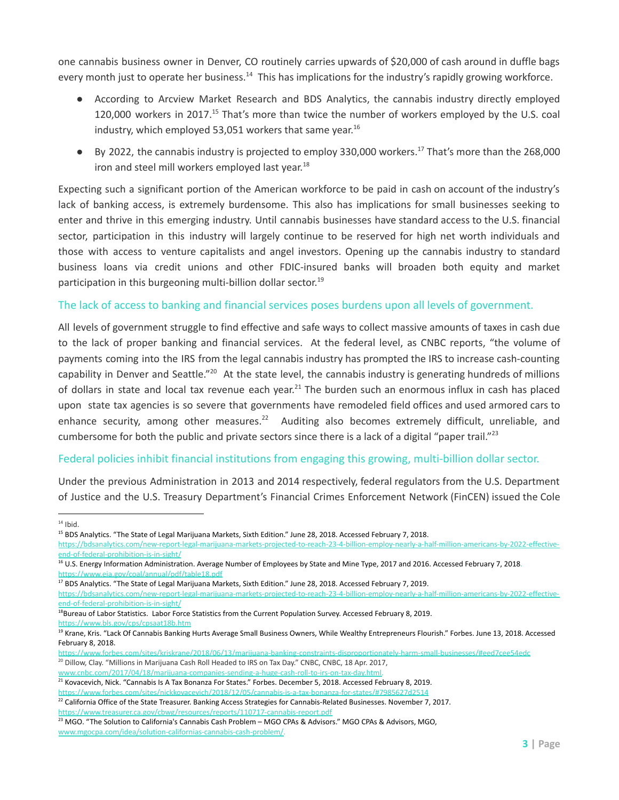one cannabis business owner in Denver, CO routinely carries upwards of \$20,000 of cash around in duffle bags every month just to operate her business.<sup>14</sup> This has implications for the industry's rapidly growing workforce.

- According to Arcview Market Research and BDS Analytics, the cannabis industry directly employed 120,000 workers in 2017.<sup>15</sup> That's more than twice the number of workers employed by the U.S. coal industry, which employed 53,051 workers that same year. 16
- By 2022, the cannabis industry is projected to employ 330,000 workers.<sup>17</sup> That's more than the 268,000 iron and steel mill workers employed last year.<sup>18</sup>

Expecting such a significant portion of the American workforce to be paid in cash on account of the industry's lack of banking access, is extremely burdensome. This also has implications for small businesses seeking to enter and thrive in this emerging industry. Until cannabis businesses have standard access to the U.S. financial sector, participation in this industry will largely continue to be reserved for high net worth individuals and those with access to venture capitalists and angel investors. Opening up the cannabis industry to standard business loans via credit unions and other FDIC-insured banks will broaden both equity and market participation in this burgeoning multi-billion dollar sector.<sup>19</sup>

#### The lack of access to banking and financial services poses burdens upon all levels of government.

All levels of government struggle to find effective and safe ways to collect massive amounts of taxes in cash due to the lack of proper banking and financial services. At the federal level, as CNBC reports, "the volume of payments coming into the IRS from the legal cannabis industry has prompted the IRS to increase cash-counting capability in Denver and Seattle."<sup>20</sup> At the state level, the cannabis industry is generating hundreds of millions of dollars in state and local tax revenue each year.<sup>21</sup> The burden such an enormous influx in cash has placed upon state tax agencies is so severe that governments have remodeled field offices and used armored cars to enhance security, among other measures.<sup>22</sup> Auditing also becomes extremely difficult, unreliable, and cumbersome for both the public and private sectors since there is a lack of a digital "paper trail."<sup>23</sup>

#### Federal policies inhibit financial institutions from engaging this growing, multi-billion dollar sector.

Under the previous Administration in 2013 and 2014 respectively, federal regulators from the U.S. Department of Justice and the U.S. Treasury Department's Financial Crimes Enforcement Network (FinCEN) issued the Cole

 $14$  Ibid.

<sup>&</sup>lt;sup>15</sup> BDS Analytics. "The State of Legal Marijuana Markets, Sixth Edition." June 28, 2018. Accessed February 7, 2018.

[https://bdsanalytics.com/new-report-legal-marijuana-markets-projected-to-reach-23-4-billion-employ-nearly-a-half-million-americans-by-2022-effective](https://bdsanalytics.com/new-report-legal-marijuana-markets-projected-to-reach-23-4-billion-employ-nearly-a-half-million-americans-by-2022-effective-end-of-federal-prohibition-is-in-sight/)[end-of-federal-prohibition-is-in-sight/](https://bdsanalytics.com/new-report-legal-marijuana-markets-projected-to-reach-23-4-billion-employ-nearly-a-half-million-americans-by-2022-effective-end-of-federal-prohibition-is-in-sight/)

<sup>&</sup>lt;sup>16</sup> U.S. Energy Information Administration. Average Number of Employees by State and Mine Type, 2017 and 2016. Accessed February 7, 2018. <https://www.eia.gov/coal/annual/pdf/table18.pdf>

<sup>&</sup>lt;sup>17</sup> BDS Analytics. "The State of Legal Marijuana Markets, Sixth Edition." June 28, 2018. Accessed February 7, 2019.

[https://bdsanalytics.com/new-report-legal-marijuana-markets-projected-to-reach-23-4-billion-employ-nearly-a-half-million-americans-by-2022-effective](https://bdsanalytics.com/new-report-legal-marijuana-markets-projected-to-reach-23-4-billion-employ-nearly-a-half-million-americans-by-2022-effective-end-of-federal-prohibition-is-in-sight/)[end-of-federal-prohibition-is-in-sight/](https://bdsanalytics.com/new-report-legal-marijuana-markets-projected-to-reach-23-4-billion-employ-nearly-a-half-million-americans-by-2022-effective-end-of-federal-prohibition-is-in-sight/)

<sup>&</sup>lt;sup>18</sup>Bureau of Labor Statistics. Labor Force Statistics from the Current Population Survey. Accessed February 8, 2019. <https://www.bls.gov/cps/cpsaat18b.htm>

<sup>&</sup>lt;sup>19</sup> Krane, Kris. "Lack Of Cannabis Banking Hurts Average Small Business Owners, While Wealthy Entrepreneurs Flourish." Forbes. June 13, 2018. Accessed February 8, 2018.

<sup>&</sup>lt;sup>20</sup> Dillow, Clay. "Millions in Marijuana Cash Roll Headed to IRS on Tax Day." CNBC, CNBC, 18 Apr. 2017, <https://www.forbes.com/sites/kriskrane/2018/06/13/marijuana-banking-constraints-disproportionately-harm-small-businesses/#eed7cee54edc>

[www.cnbc.com/2017/04/18/marijuana-companies-sending-a-huge-cash-roll-to-irs-on-tax-day.html.](http://www.cnbc.com/2017/04/18/marijuana-companies-sending-a-huge-cash-roll-to-irs-on-tax-day.html)

<sup>&</sup>lt;sup>21</sup> Kovacevich, Nick. "Cannabis Is A Tax Bonanza For States." Forbes. December 5, 2018. Accessed February 8, 2019. <https://www.forbes.com/sites/nickkovacevich/2018/12/05/cannabis-is-a-tax-bonanza-for-states/#7985627d2514>

 $^{22}$  California Office of the State Treasurer. Banking Access Strategies for Cannabis-Related Businesses. November 7, 2017. <https://www.treasurer.ca.gov/cbwg/resources/reports/110717-cannabis-report.pdf>

<sup>&</sup>lt;sup>23</sup> MGO. "The Solution to California's Cannabis Cash Problem – MGO CPAs & Advisors." MGO CPAs & Advisors, MGO, [www.mgocpa.com/idea/solution-californias-cannabis-cash-problem/.](http://www.mgocpa.com/idea/solution-californias-cannabis-cash-problem/)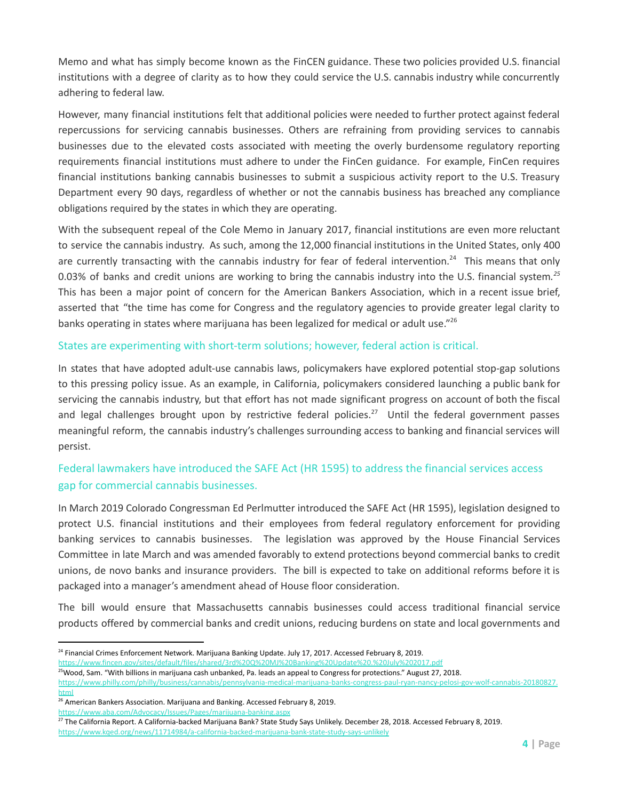Memo and what has simply become known as the FinCEN guidance. These two policies provided U.S. financial institutions with a degree of clarity as to how they could service the U.S. cannabis industry while concurrently adhering to federal law.

However, many financial institutions felt that additional policies were needed to further protect against federal repercussions for servicing cannabis businesses. Others are refraining from providing services to cannabis businesses due to the elevated costs associated with meeting the overly burdensome regulatory reporting requirements financial institutions must adhere to under the FinCen guidance. For example, FinCen requires financial institutions banking cannabis businesses to submit a suspicious activity report to the U.S. Treasury Department every 90 days, regardless of whether or not the cannabis business has breached any compliance obligations required by the states in which they are operating.

With the subsequent repeal of the Cole Memo in January 2017, financial institutions are even more reluctant to service the cannabis industry. As such, among the 12,000 financial institutions in the United States, only 400 are currently transacting with the cannabis industry for fear of federal intervention.<sup>24</sup> This means that only 0.03% of banks and credit unions are working to bring the cannabis industry into the U.S. financial system*. 25* This has been a major point of concern for the American Bankers Association, which in a recent issue brief, asserted that "the time has come for Congress and the regulatory agencies to provide greater legal clarity to banks operating in states where marijuana has been legalized for medical or adult use."<sup>26</sup>

#### States are experimenting with short-term solutions; however, federal action is critical.

In states that have adopted adult-use cannabis laws, policymakers have explored potential stop-gap solutions to this pressing policy issue. As an example, in California, policymakers considered launching a public bank for servicing the cannabis industry, but that effort has not made significant progress on account of both the fiscal and legal challenges brought upon by restrictive federal policies.<sup>27</sup> Until the federal government passes meaningful reform, the cannabis industry's challenges surrounding access to banking and financial services will persist.

## Federal lawmakers have introduced the SAFE Act (HR 1595) to address the financial services access gap for commercial cannabis businesses.

In March 2019 Colorado Congressman Ed Perlmutter introduced the SAFE Act (HR 1595), legislation designed to protect U.S. financial institutions and their employees from federal regulatory enforcement for providing banking services to cannabis businesses. The legislation was approved by the House Financial Services Committee in late March and was amended favorably to extend protections beyond commercial banks to credit unions, de novo banks and insurance providers. The bill is expected to take on additional reforms before it is packaged into a manager's amendment ahead of House floor consideration.

The bill would ensure that Massachusetts cannabis businesses could access traditional financial service products offered by commercial banks and credit unions, reducing burdens on state and local governments and

<https://www.fincen.gov/sites/default/files/shared/3rd%20Q%20MJ%20Banking%20Update%20.%20July%202017.pdf>

<sup>&</sup>lt;sup>24</sup> Financial Crimes Enforcement Network. Marijuana Banking Update. July 17, 2017. Accessed February 8, 2019.

<sup>&</sup>lt;sup>25</sup>Wood, Sam. "With billions in marijuana cash unbanked, Pa. leads an appeal to Congress for protections." August 27, 2018.

[https://www.philly.com/philly/business/cannabis/pennsylvania-medical-marijuana-banks-congress-paul-ryan-nancy-pelosi-gov-wolf-cannabis-20180827.](https://www.philly.com/philly/business/cannabis/pennsylvania-medical-marijuana-banks-congress-paul-ryan-nancy-pelosi-gov-wolf-cannabis-20180827.html) [html](https://www.philly.com/philly/business/cannabis/pennsylvania-medical-marijuana-banks-congress-paul-ryan-nancy-pelosi-gov-wolf-cannabis-20180827.html)

<sup>&</sup>lt;sup>26</sup> American Bankers Association. Marijuana and Banking. Accessed February 8, 2019.

<https://www.aba.com/Advocacy/Issues/Pages/marijuana-banking.aspx>

<sup>&</sup>lt;sup>27</sup> The California Report. A California-backed Marijuana Bank? State Study Says Unlikely. December 28, 2018. Accessed February 8, 2019.

<https://www.kqed.org/news/11714984/a-california-backed-marijuana-bank-state-study-says-unlikely>